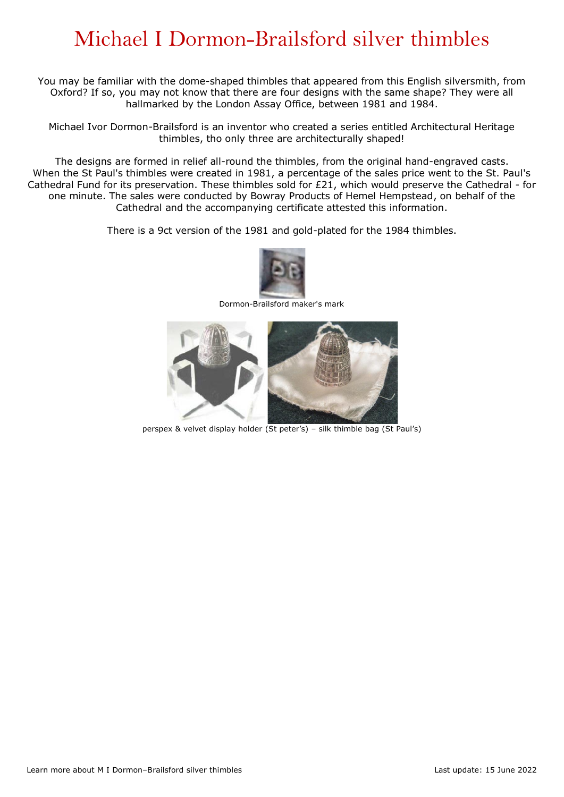## Michael I Dormon-Brailsford silver thimbles

You may be familiar with the dome-shaped thimbles that appeared from this English silversmith, from Oxford? If so, you may not know that there are four designs with the same shape? They were all hallmarked by the London Assay Office, between 1981 and 1984.

Michael Ivor Dormon-Brailsford is an inventor who created a series entitled Architectural Heritage thimbles, tho only three are architecturally shaped!

The designs are formed in relief all-round the thimbles, from the original hand-engraved casts. When the St Paul's thimbles were created in 1981, a percentage of the sales price went to the St. Paul's Cathedral Fund for its preservation. These thimbles sold for £21, which would preserve the Cathedral - for one minute. The sales were conducted by Bowray Products of Hemel Hempstead, on behalf of the Cathedral and the accompanying certificate attested this information.

There is a 9ct version of the 1981 and gold-plated for the 1984 thimbles.



Dormon-Brailsford maker's mark



perspex & velvet display holder (St peter's) – silk thimble bag (St Paul's)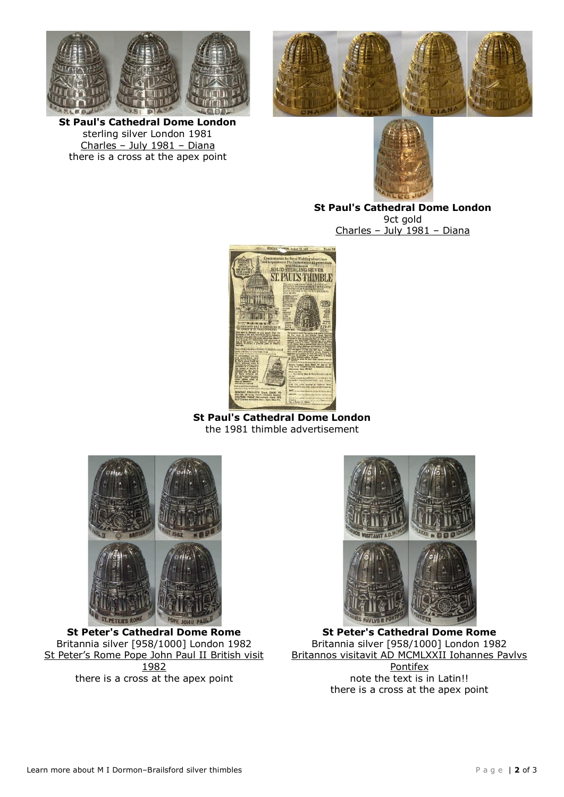



**St Paul's Cathedral Dome London**  sterling silver London 1981 Charles – July 1981 – Diana there is a cross at the apex point



**St Paul's Cathedral Dome London**  9ct gold Charles – July 1981 – Diana



**St Paul's Cathedral Dome London**  the 1981 thimble advertisement



**St Peter's Cathedral Dome Rome**  Britannia silver [958/1000] London 1982 St Peter's Rome Pope John Paul II British visit 1982 there is a cross at the apex point



**St Peter's Cathedral Dome Rome**  Britannia silver [958/1000] London 1982 Britannos visitavit AD MCMLXXII Iohannes Pavlvs Pontifex note the text is in Latin!! there is a cross at the apex point